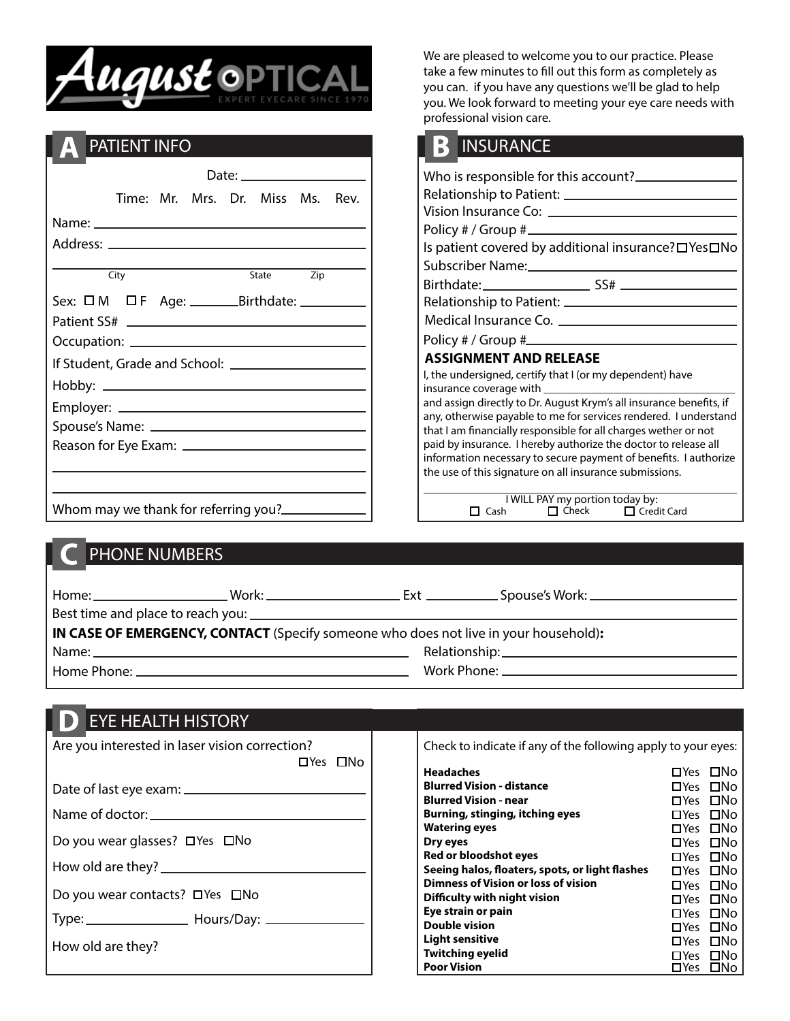

# PATIENT INFO

| State Zip<br>City |  |  | Time: Mr. Mrs. Dr. Miss Ms. Rev. |  |  |  |
|-------------------|--|--|----------------------------------|--|--|--|
|                   |  |  |                                  |  |  |  |
|                   |  |  |                                  |  |  |  |
|                   |  |  |                                  |  |  |  |
|                   |  |  |                                  |  |  |  |
|                   |  |  |                                  |  |  |  |
|                   |  |  |                                  |  |  |  |
|                   |  |  |                                  |  |  |  |
|                   |  |  |                                  |  |  |  |
|                   |  |  |                                  |  |  |  |
|                   |  |  |                                  |  |  |  |
|                   |  |  |                                  |  |  |  |
|                   |  |  |                                  |  |  |  |

We are pleased to welcome you to our practice. Please take a few minutes to fill out this form as completely as you can. if you have any questions we'll be glad to help you. We look forward to meeting your eye care needs with professional vision care.

|                                                                                                                                         | <b>NINSURANCE</b>                                                                              |  |  |
|-----------------------------------------------------------------------------------------------------------------------------------------|------------------------------------------------------------------------------------------------|--|--|
|                                                                                                                                         | Who is responsible for this account?                                                           |  |  |
|                                                                                                                                         | Vision Insurance Co: <u>_________________________</u>                                          |  |  |
|                                                                                                                                         |                                                                                                |  |  |
|                                                                                                                                         | Is patient covered by additional insurance? □ Yes□No<br>Subscriber Name:<br>Subscriber Name:   |  |  |
|                                                                                                                                         |                                                                                                |  |  |
|                                                                                                                                         |                                                                                                |  |  |
|                                                                                                                                         |                                                                                                |  |  |
|                                                                                                                                         |                                                                                                |  |  |
|                                                                                                                                         | <b>ASSIGNMENT AND RELEASE</b>                                                                  |  |  |
|                                                                                                                                         | I, the undersigned, certify that I (or my dependent) have<br>insurance coverage with insurance |  |  |
| and assign directly to Dr. August Krym's all insurance benefits, if<br>any, otherwise payable to me for services rendered. I understand |                                                                                                |  |  |
|                                                                                                                                         | that I am financially responsible for all charges wether or not                                |  |  |
|                                                                                                                                         | paid by insurance. I hereby authorize the doctor to release all                                |  |  |
|                                                                                                                                         | information necessary to secure payment of benefits. I authorize                               |  |  |
|                                                                                                                                         | the use of this signature on all insurance submissions.                                        |  |  |
|                                                                                                                                         | I WILL PAY my portion today by:                                                                |  |  |
|                                                                                                                                         | $\Box$ Cach $\Box$ Check $\Box$ Cradit Card                                                    |  |  |

|              | I WILL PAY my portion today by: |                    |
|--------------|---------------------------------|--------------------|
| $\prod$ Cash | $\Box$ Check                    | $\Box$ Credit Card |

### PHONE NUMBERS

Whom may we thank for referring you?

| IN CASE OF EMERGENCY, CONTACT (Specify someone who does not live in your household): |  |  |                                                |  |
|--------------------------------------------------------------------------------------|--|--|------------------------------------------------|--|
|                                                                                      |  |  |                                                |  |
|                                                                                      |  |  | Work Phone: __________________________________ |  |

# **EYE HEALTH HISTORY**

| Are you interested in laser vision correction? | Check to indicate if any of the following apply to your eyes:                                                                    |  |  |  |
|------------------------------------------------|----------------------------------------------------------------------------------------------------------------------------------|--|--|--|
| □Yes □No                                       | <b>Headaches</b><br>□Yes □No                                                                                                     |  |  |  |
|                                                | <b>Blurred Vision - distance</b><br>□Yes □No                                                                                     |  |  |  |
|                                                | <b>Blurred Vision - near</b><br>$\square$ Yes $\square$ No                                                                       |  |  |  |
|                                                | Burning, stinging, itching eyes<br>□Yes □No<br><b>Watering eyes</b><br>□Yes □No                                                  |  |  |  |
| Do you wear glasses? □ Yes □ No                | Dry eyes<br>$\square$ Yes $\square$ No                                                                                           |  |  |  |
|                                                | Red or bloodshot eyes<br>□Yes □No                                                                                                |  |  |  |
|                                                | Seeing halos, floaters, spots, or light flashes<br>$\square$ Yes $\square$ No<br>Dimness of Vision or loss of vision<br>□Yes □No |  |  |  |
| Do you wear contacts? □ Yes □ No               | Difficulty with night vision<br>□Yes □No                                                                                         |  |  |  |
|                                                | Eye strain or pain<br>□Yes □No                                                                                                   |  |  |  |
|                                                | <b>Double vision</b><br>□Yes □No                                                                                                 |  |  |  |
| How old are they?                              | <b>Light sensitive</b><br>□Yes □No<br><b>Twitching eyelid</b>                                                                    |  |  |  |
|                                                | □Yes □No<br><b>Poor Vision</b><br>$\square$ Yes $\square$ No                                                                     |  |  |  |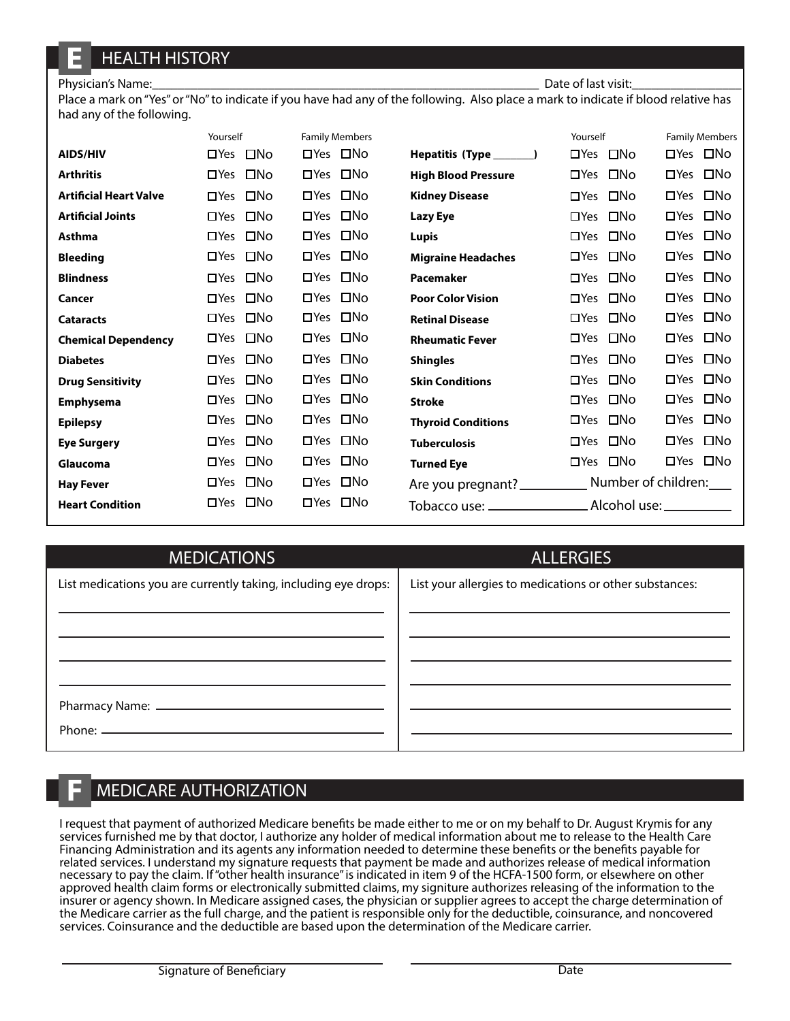## HEALTH HISTORY

#### Physician's Name: <u>and the second second in the second</u> part of last visit:

Place a mark on "Yes" or "No" to indicate if you have had any of the following. Also place a mark to indicate if blood relative has had any of the following.

|                               | Yourself                   | <b>Family Members</b>      |                            | Yourself                   | <b>Family Members</b>      |
|-------------------------------|----------------------------|----------------------------|----------------------------|----------------------------|----------------------------|
| <b>AIDS/HIV</b>               | $\square$ No<br>$\Box$ Yes | □Yes □No                   | Hepatitis (Type ______     | $\square$ No<br>$\Box$ Yes | □No<br>$\Box$ Yes          |
| <b>Arthritis</b>              | $\square$ No<br>$\Box$ Yes | $\square$ No<br>$\Box$ Yes | <b>High Blood Pressure</b> | $\square$ No<br>$\Box$ Yes | $\square$ No<br>$\Box$ Yes |
| <b>Artificial Heart Valve</b> | $\square$ No<br>$\Box$ Yes | $\square$ No<br>$\Box$ Yes | <b>Kidney Disease</b>      | $\square$ No<br>$\Box$ Yes | $\square$ No<br>$\Box$ Yes |
| <b>Artificial Joints</b>      | $\square$ No<br>$\Box$ Yes | $\square$ No<br>$\Box$ Yes | <b>Lazy Eye</b>            | $\square$ No<br>$\Box$ Yes | $\square$ No<br>$\Box$ Yes |
| <b>Asthma</b>                 | $\square$ No<br>$\Box$ Yes | $\square$ No<br>$\Box$ Yes | <b>Lupis</b>               | $\square$ No<br>$\Box$ Yes | $\square$ No<br>$\Box$ Yes |
| <b>Bleeding</b>               | $\square$ No<br>$\Box$ Yes | $\square$ No<br>$\Box$ Yes | <b>Migraine Headaches</b>  | $\square$ No<br>$\Box$ Yes | □No<br>$\Box$ Yes          |
| <b>Blindness</b>              | $\square$ No<br>$\Box$ Yes | $\square$ No<br>$\Box$ Yes | Pacemaker                  | $\square$ No<br>$\Box$ Yes | $\square$ No<br>$\Box$ Yes |
| Cancer                        | $\square$ No<br>$\Box$ Yes | $\square$ No<br>$\Box$ Yes | <b>Poor Color Vision</b>   | □No<br>$\Box$ Yes          | $\square$ No<br>$\Box$ Yes |
| <b>Cataracts</b>              | $\square$ No<br>$\Box$ Yes | $\square$ No<br>$\Box$ Yes | <b>Retinal Disease</b>     | □No<br>$\Box$ Yes          | □No<br>$\Box$ Yes          |
| <b>Chemical Dependency</b>    | □Yes □No                   | $\square$ No<br>$\Box$ Yes | <b>Rheumatic Fever</b>     | $\square$ No<br>$\Box$ Yes | □No<br>$\Box$ Yes          |
| <b>Diabetes</b>               | $\square$ No<br>$\Box$ Yes | $\square$ No<br>$\Box$ Yes | <b>Shingles</b>            | $\square$ No<br>$\Box$ Yes | □No<br>$\Box$ Yes          |
| <b>Drug Sensitivity</b>       | $\square$ No<br>$\Box$ Yes | $\square$ No<br>$\Box$ Yes | <b>Skin Conditions</b>     | $\square$ No<br>$\Box$ Yes | □No<br>$\Box$ Yes          |
| <b>Emphysema</b>              | $\square$ No<br>$\Box$ Yes | $\square$ No<br>$\Box$ Yes | <b>Stroke</b>              | □No<br>$\Box$ Yes          | $\square$ No<br>$\Box$ Yes |
| <b>Epilepsy</b>               | $\square$ No<br>$\Box$ Yes | $\square$ No<br>$\Box$ Yes | <b>Thyroid Conditions</b>  | □No<br>$\Box$ Yes          | $\square$ No<br>$\Box$ Yes |
| <b>Eye Surgery</b>            | $\square$ No<br>$\Box$ Yes | $\square$ No<br>$\Box$ Yes | <b>Tuberculosis</b>        | $\square$ No<br>$\Box$ Yes | $\square$ No<br>$\Box$ Yes |
| Glaucoma                      | $\square$ No<br>$\Box$ Yes | $\square$ No<br>$\Box$ Yes | <b>Turned Eye</b>          | $\square$ No<br>$\Box$ Yes | $\Box$ Yes<br>□No          |
| <b>Hay Fever</b>              | $\square$ No<br>$\Box$ Yes | $\square$ No<br>$\Box$ Yes | Are you pregnant?          |                            | Number of children:        |
| <b>Heart Condition</b>        | $\square$ No<br>$\Box$ Yes | $\square$ No<br>$\Box$ Yes |                            |                            |                            |

| <b>MEDICATIONS</b>                                              | <b>ALLERGIES</b>                                        |
|-----------------------------------------------------------------|---------------------------------------------------------|
| List medications you are currently taking, including eye drops: | List your allergies to medications or other substances: |
|                                                                 |                                                         |

#### MEDICARE AUTHORIZATION

I request that payment of authorized Medicare benefits be made either to me or on my behalf to Dr. August Krymis for any services furnished me by that doctor, I authorize any holder of medical information about me to release to the Health Care Financing Administration and its agents any information needed to determine these benefits or the benefits payable for related services. I understand my signature requests that payment be made and authorizes release of medical information necessary to pay the claim. If "other health insurance" is indicated in item 9 of the HCFA-1500 form, or elsewhere on other approved health claim forms or electronically submitted claims, my signiture authorizes releasing of the information to the insurer or agency shown. In Medicare assigned cases, the physician or supplier agrees to accept the charge determination of the Medicare carrier as the full charge, and the patient is responsible only for the deductible, coinsurance, and noncovered services. Coinsurance and the deductible are based upon the determination of the Medicare carrier.